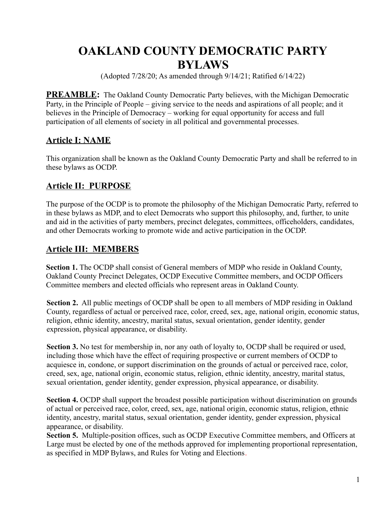# **OAKLAND COUNTY DEMOCRATIC PARTY BYLAWS**

(Adopted 7/28/20; As amended through 9/14/21; Ratified 6/14/22)

**PREAMBLE:** The Oakland County Democratic Party believes, with the Michigan Democratic Party, in the Principle of People – giving service to the needs and aspirations of all people; and it believes in the Principle of Democracy – working for equal opportunity for access and full participation of all elements of society in all political and governmental processes.

### **Article I: NAME**

This organization shall be known as the Oakland County Democratic Party and shall be referred to in these bylaws as OCDP.

### **Article II: PURPOSE**

The purpose of the OCDP is to promote the philosophy of the Michigan Democratic Party, referred to in these bylaws as MDP, and to elect Democrats who support this philosophy, and, further, to unite and aid in the activities of party members, precinct delegates, committees, officeholders, candidates, and other Democrats working to promote wide and active participation in the OCDP.

### **Article III: MEMBERS**

**Section 1.** The OCDP shall consist of General members of MDP who reside in Oakland County, Oakland County Precinct Delegates, OCDP Executive Committee members, and OCDP Officers Committee members and elected officials who represent areas in Oakland County.

**Section 2.** All public meetings of OCDP shall be open to all members of MDP residing in Oakland County, regardless of actual or perceived race, color, creed, sex, age, national origin, economic status, religion, ethnic identity, ancestry, marital status, sexual orientation, gender identity, gender expression, physical appearance, or disability.

**Section 3.** No test for membership in, nor any oath of loyalty to, OCDP shall be required or used, including those which have the effect of requiring prospective or current members of OCDP to acquiesce in, condone, or support discrimination on the grounds of actual or perceived race, color, creed, sex, age, national origin, economic status, religion, ethnic identity, ancestry, marital status, sexual orientation, gender identity, gender expression, physical appearance, or disability.

**Section 4.** OCDP shall support the broadest possible participation without discrimination on grounds of actual or perceived race, color, creed, sex, age, national origin, economic status, religion, ethnic identity, ancestry, marital status, sexual orientation, gender identity, gender expression, physical appearance, or disability.

**Section 5.** Multiple-position offices, such as OCDP Executive Committee members, and Officers at Large must be elected by one of the methods approved for implementing proportional representation, as specified in MDP Bylaws, and Rules for Voting and Elections.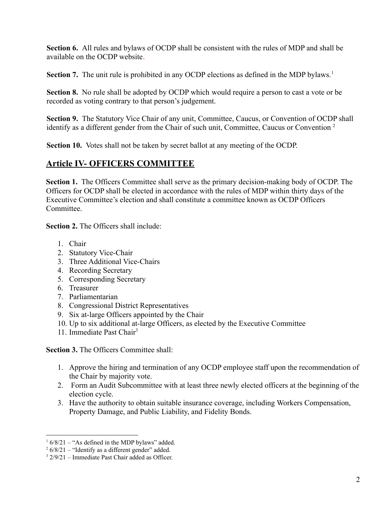**Section 6.** All rules and bylaws of OCDP shall be consistent with the rules of MDP and shall be available on the OCDP website.

**Section 7.** The unit rule is prohibited in any OCDP elections as defined in the MDP bylaws.<sup>1</sup>

**Section 8.** No rule shall be adopted by OCDP which would require a person to cast a vote or be recorded as voting contrary to that person's judgement.

**Section 9.** The Statutory Vice Chair of any unit, Committee, Caucus, or Convention of OCDP shall identify as a different gender from the Chair of such unit, Committee, Caucus or Convention<sup>2</sup>

**Section 10.** Votes shall not be taken by secret ballot at any meeting of the OCDP.

### **Article IV- OFFICERS COMMITTEE**

**Section 1.** The Officers Committee shall serve as the primary decision-making body of OCDP. The Officers for OCDP shall be elected in accordance with the rules of MDP within thirty days of the Executive Committee's election and shall constitute a committee known as OCDP Officers **Committee** 

**Section 2.** The Officers shall include:

- 1. Chair
- 2. Statutory Vice-Chair
- 3. Three Additional Vice-Chairs
- 4. Recording Secretary
- 5. Corresponding Secretary
- 6. Treasurer
- 7. Parliamentarian
- 8. Congressional District Representatives
- 9. Six at-large Officers appointed by the Chair
- 10. Up to six additional at-large Officers, as elected by the Executive Committee
- 11. Immediate Past Chair<sup>3</sup>

**Section 3.** The Officers Committee shall:

- 1. Approve the hiring and termination of any OCDP employee staff upon the recommendation of the Chair by majority vote.
- 2. Form an Audit Subcommittee with at least three newly elected officers at the beginning of the election cycle.
- 3. Have the authority to obtain suitable insurance coverage, including Workers Compensation, Property Damage, and Public Liability, and Fidelity Bonds.

 $16/8/21$  – "As defined in the MDP bylaws" added.

 $26/8/21$  – "Identify as a different gender" added.

 $3\frac{2}{9/21}$  – Immediate Past Chair added as Officer.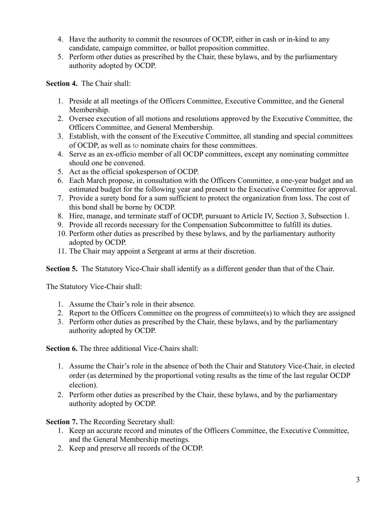- 4. Have the authority to commit the resources of OCDP, either in cash or in-kind to any candidate, campaign committee, or ballot proposition committee.
- 5. Perform other duties as prescribed by the Chair, these bylaws, and by the parliamentary authority adopted by OCDP.

**Section 4.** The Chair shall:

- 1. Preside at all meetings of the Officers Committee, Executive Committee, and the General Membership.
- 2. Oversee execution of all motions and resolutions approved by the Executive Committee, the Officers Committee, and General Membership.
- 3. Establish, with the consent of the Executive Committee, all standing and special committees of OCDP, as well as to nominate chairs for these committees.
- 4. Serve as an ex-officio member of all OCDP committees, except any nominating committee should one be convened.
- 5. Act as the official spokesperson of OCDP.
- 6. Each March propose, in consultation with the Officers Committee, a one-year budget and an estimated budget for the following year and present to the Executive Committee for approval.
- 7. Provide a surety bond for a sum sufficient to protect the organization from loss. The cost of this bond shall be borne by OCDP.
- 8. Hire, manage, and terminate staff of OCDP, pursuant to Article IV, Section 3, Subsection 1.
- 9. Provide all records necessary for the Compensation Subcommittee to fulfill its duties.
- 10. Perform other duties as prescribed by these bylaws, and by the parliamentary authority adopted by OCDP.
- 11. The Chair may appoint a Sergeant at arms at their discretion.

**Section 5.** The Statutory Vice-Chair shall identify as a different gender than that of the Chair.

The Statutory Vice-Chair shall:

- 1. Assume the Chair's role in their absence.
- 2. Report to the Officers Committee on the progress of committee(s) to which they are assigned
- 3. Perform other duties as prescribed by the Chair, these bylaws, and by the parliamentary authority adopted by OCDP.

**Section 6.** The three additional Vice-Chairs shall:

- 1. Assume the Chair's role in the absence of both the Chair and Statutory Vice-Chair, in elected order (as determined by the proportional voting results as the time of the last regular OCDP election).
- 2. Perform other duties as prescribed by the Chair, these bylaws, and by the parliamentary authority adopted by OCDP.

**Section 7.** The Recording Secretary shall:

- 1. Keep an accurate record and minutes of the Officers Committee, the Executive Committee, and the General Membership meetings.
- 2. Keep and preserve all records of the OCDP.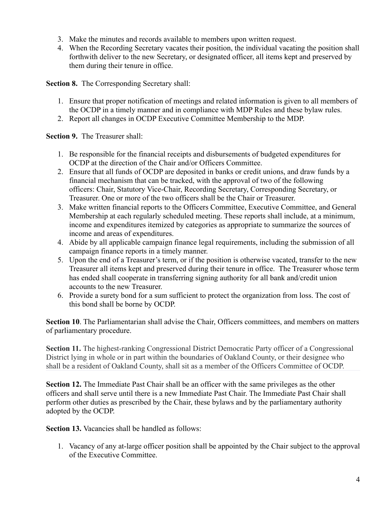- 3. Make the minutes and records available to members upon written request.
- 4. When the Recording Secretary vacates their position, the individual vacating the position shall forthwith deliver to the new Secretary, or designated officer, all items kept and preserved by them during their tenure in office.

**Section 8.** The Corresponding Secretary shall:

- 1. Ensure that proper notification of meetings and related information is given to all members of the OCDP in a timely manner and in compliance with MDP Rules and these bylaw rules.
- 2. Report all changes in OCDP Executive Committee Membership to the MDP.

**Section 9.** The Treasurer shall:

- 1. Be responsible for the financial receipts and disbursements of budgeted expenditures for OCDP at the direction of the Chair and/or Officers Committee.
- 2. Ensure that all funds of OCDP are deposited in banks or credit unions, and draw funds by a financial mechanism that can be tracked, with the approval of two of the following officers: Chair, Statutory Vice-Chair, Recording Secretary, Corresponding Secretary, or Treasurer. One or more of the two officers shall be the Chair or Treasurer.
- 3. Make written financial reports to the Officers Committee, Executive Committee, and General Membership at each regularly scheduled meeting. These reports shall include, at a minimum, income and expenditures itemized by categories as appropriate to summarize the sources of income and areas of expenditures.
- 4. Abide by all applicable campaign finance legal requirements, including the submission of all campaign finance reports in a timely manner.
- 5. Upon the end of a Treasurer's term, or if the position is otherwise vacated, transfer to the new Treasurer all items kept and preserved during their tenure in office. The Treasurer whose term has ended shall cooperate in transferring signing authority for all bank and/credit union accounts to the new Treasurer.
- 6. Provide a surety bond for a sum sufficient to protect the organization from loss. The cost of this bond shall be borne by OCDP.

**Section 10**. The Parliamentarian shall advise the Chair, Officers committees, and members on matters of parliamentary procedure.

**Section 11.** The highest-ranking Congressional District Democratic Party officer of a Congressional District lying in whole or in part within the boundaries of Oakland County, or their designee who shall be a resident of Oakland County, shall sit as a member of the Officers Committee of OCDP.

**Section 12.** The Immediate Past Chair shall be an officer with the same privileges as the other officers and shall serve until there is a new Immediate Past Chair. The Immediate Past Chair shall perform other duties as prescribed by the Chair, these bylaws and by the parliamentary authority adopted by the OCDP.

**Section 13.** Vacancies shall be handled as follows:

1. Vacancy of any at-large officer position shall be appointed by the Chair subject to the approval of the Executive Committee.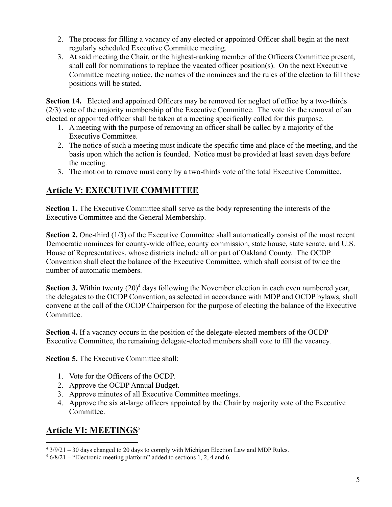- 2. The process for filling a vacancy of any elected or appointed Officer shall begin at the next regularly scheduled Executive Committee meeting.
- 3. At said meeting the Chair, or the highest-ranking member of the Officers Committee present, shall call for nominations to replace the vacated officer position(s). On the next Executive Committee meeting notice, the names of the nominees and the rules of the election to fill these positions will be stated.

**Section 14.** Elected and appointed Officers may be removed for neglect of office by a two-thirds (2/3) vote of the majority membership of the Executive Committee. The vote for the removal of an elected or appointed officer shall be taken at a meeting specifically called for this purpose.

- 1. A meeting with the purpose of removing an officer shall be called by a majority of the Executive Committee.
- 2. The notice of such a meeting must indicate the specific time and place of the meeting, and the basis upon which the action is founded. Notice must be provided at least seven days before the meeting.
- 3. The motion to remove must carry by a two-thirds vote of the total Executive Committee.

# **Article V: EXECUTIVE COMMITTEE**

**Section 1.** The Executive Committee shall serve as the body representing the interests of the Executive Committee and the General Membership.

**Section 2.** One-third (1/3) of the Executive Committee shall automatically consist of the most recent Democratic nominees for county-wide office, county commission, state house, state senate, and U.S. House of Representatives, whose districts include all or part of Oakland County. The OCDP Convention shall elect the balance of the Executive Committee, which shall consist of twice the number of automatic members.

**Section 3.** Within twenty (20)<sup>4</sup> days following the November election in each even numbered year, the delegates to the OCDP Convention, as selected in accordance with MDP and OCDP bylaws, shall convene at the call of the OCDP Chairperson for the purpose of electing the balance of the Executive Committee.

**Section 4.** If a vacancy occurs in the position of the delegate-elected members of the OCDP Executive Committee, the remaining delegate-elected members shall vote to fill the vacancy.

**Section 5.** The Executive Committee shall:

- 1. Vote for the Officers of the OCDP.
- 2. Approve the OCDP Annual Budget.
- 3. Approve minutes of all Executive Committee meetings.
- 4. Approve the six at-large officers appointed by the Chair by majority vote of the Executive Committee.

# **Article VI: MEETINGS** 5

 $4\frac{3}{9}{21} - 30$  days changed to 20 days to comply with Michigan Election Law and MDP Rules.

 $56/8/21$  – "Electronic meeting platform" added to sections 1, 2, 4 and 6.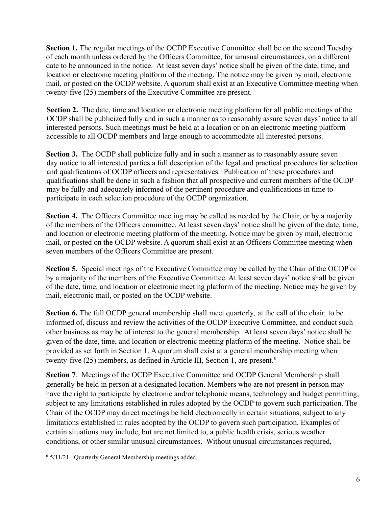**Section 1.** The regular meetings of the OCDP Executive Committee shall be on the second Tuesday of each month unless ordered by the Officers Committee, for unusual circumstances, on a different date to be announced in the notice. At least seven days' notice shall be given of the date, time, and location or electronic meeting platform of the meeting. The notice may be given by mail, electronic mail, or posted on the OCDP website. A quorum shall exist at an Executive Committee meeting when twenty-five (25) members of the Executive Committee are present.

**Section 2.** The date, time and location or electronic meeting platform for all public meetings of the OCDP shall be publicized fully and in such a manner as to reasonably assure seven days' notice to all interested persons. Such meetings must be held at a location or on an electronic meeting platform accessible to all OCDP members and large enough to accommodate all interested persons.

**Section 3.** The OCDP shall publicize fully and in such a manner as to reasonably assure seven day notice to all interested parties a full description of the legal and practical procedures for selection and qualifications of OCDP officers and representatives. Publication of these procedures and qualifications shall be done in such a fashion that all prospective and current members of the OCDP may be fully and adequately informed of the pertinent procedure and qualifications in time to participate in each selection procedure of the OCDP organization.

**Section 4.** The Officers Committee meeting may be called as needed by the Chair, or by a majority of the members of the Officers committee. At least seven days' notice shall be given of the date, time, and location or electronic meeting platform of the meeting. Notice may be given by mail, electronic mail, or posted on the OCDP website. A quorum shall exist at an Officers Committee meeting when seven members of the Officers Committee are present.

**Section 5.** Special meetings of the Executive Committee may be called by the Chair of the OCDP or by a majority of the members of the Executive Committee. At least seven days' notice shall be given of the date, time, and location or electronic meeting platform of the meeting. Notice may be given by mail, electronic mail, or posted on the OCDP website.

**Section 6.** The full OCDP general membership shall meet quarterly*,* at the call of the chair*,* to be informed of, discuss and review the activities of the OCDP Executive Committee, and conduct such other business as may be of interest to the general membership. At least seven days' notice shall be given of the date, time, and location or electronic meeting platform of the meeting. Notice shall be provided as set forth in Section 1. A quorum shall exist at a general membership meeting when twenty-five (25) members, as defined in Article III, Section 1, are present.<sup>6</sup>

**Section 7**. Meetings of the OCDP Executive Committee and OCDP General Membership shall generally be held in person at a designated location. Members who are not present in person may have the right to participate by electronic and/or telephonic means, technology and budget permitting, subject to any limitations established in rules adopted by the OCDP to govern such participation. The Chair of the OCDP may direct meetings be held electronically in certain situations, subject to any limitations established in rules adopted by the OCDP to govern such participation. Examples of certain situations may include, but are not limited to, a public health crisis, serious weather conditions, or other similar unusual circumstances. Without unusual circumstances required,

<sup>6</sup> 5/11/21– Quarterly General Membership meetings added.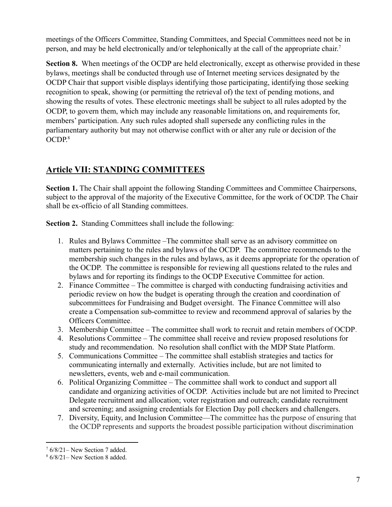meetings of the Officers Committee, Standing Committees, and Special Committees need not be in person, and may be held electronically and/or telephonically at the call of the appropriate chair.<sup>7</sup>

**Section 8.** When meetings of the OCDP are held electronically, except as otherwise provided in these bylaws, meetings shall be conducted through use of Internet meeting services designated by the OCDP Chair that support visible displays identifying those participating, identifying those seeking recognition to speak, showing (or permitting the retrieval of) the text of pending motions, and showing the results of votes. These electronic meetings shall be subject to all rules adopted by the OCDP, to govern them, which may include any reasonable limitations on, and requirements for, members' participation. Any such rules adopted shall supersede any conflicting rules in the parliamentary authority but may not otherwise conflict with or alter any rule or decision of the OCDP. 8

# **Article VII: STANDING COMMITTEES**

**Section 1.** The Chair shall appoint the following Standing Committees and Committee Chairpersons, subject to the approval of the majority of the Executive Committee, for the work of OCDP. The Chair shall be ex-officio of all Standing committees.

**Section 2.** Standing Committees shall include the following:

- 1. Rules and Bylaws Committee –The committee shall serve as an advisory committee on matters pertaining to the rules and bylaws of the OCDP. The committee recommends to the membership such changes in the rules and bylaws, as it deems appropriate for the operation of the OCDP. The committee is responsible for reviewing all questions related to the rules and bylaws and for reporting its findings to the OCDP Executive Committee for action.
- 2. Finance Committee The committee is charged with conducting fundraising activities and periodic review on how the budget is operating through the creation and coordination of subcommittees for Fundraising and Budget oversight. The Finance Committee will also create a Compensation sub-committee to review and recommend approval of salaries by the Officers Committee.
- 3. Membership Committee The committee shall work to recruit and retain members of OCDP.
- 4. Resolutions Committee The committee shall receive and review proposed resolutions for study and recommendation. No resolution shall conflict with the MDP State Platform.
- 5. Communications Committee The committee shall establish strategies and tactics for communicating internally and externally. Activities include, but are not limited to newsletters, events, web and e-mail communication.
- 6. Political Organizing Committee The committee shall work to conduct and support all candidate and organizing activities of OCDP. Activities include but are not limited to Precinct Delegate recruitment and allocation; voter registration and outreach; candidate recruitment and screening; and assigning credentials for Election Day poll checkers and challengers.
- 7. Diversity, Equity, and Inclusion Committee—The committee has the purpose of ensuring that the OCDP represents and supports the broadest possible participation without discrimination

 $76/8/21$ – New Section 7 added.

<sup>8</sup> 6/8/21– New Section 8 added.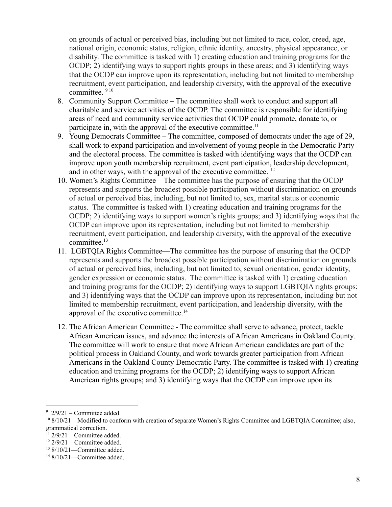on grounds of actual or perceived bias, including but not limited to race, color, creed, age, national origin, economic status, religion, ethnic identity, ancestry, physical appearance, or disability. The committee is tasked with 1) creating education and training programs for the OCDP; 2) identifying ways to support rights groups in these areas; and 3) identifying ways that the OCDP can improve upon its representation, including but not limited to membership recruitment, event participation, and leadership diversity, with the approval of the executive committee. <sup>9</sup> <sup>10</sup>

- 8. Community Support Committee The committee shall work to conduct and support all charitable and service activities of the OCDP. The committee is responsible for identifying areas of need and community service activities that OCDP could promote, donate to, or participate in, with the approval of the executive committee.<sup>11</sup>
- 9. Young Democrats Committee The committee, composed of democrats under the age of 29, shall work to expand participation and involvement of young people in the Democratic Party and the electoral process. The committee is tasked with identifying ways that the OCDP can improve upon youth membership recruitment, event participation, leadership development, and in other ways, with the approval of the executive committee. <sup>12</sup>
- 10. Women's Rights Committee—The committee has the purpose of ensuring that the OCDP represents and supports the broadest possible participation without discrimination on grounds of actual or perceived bias, including, but not limited to, sex, marital status or economic status. The committee is tasked with 1) creating education and training programs for the OCDP; 2) identifying ways to support women's rights groups; and 3) identifying ways that the OCDP can improve upon its representation, including but not limited to membership recruitment, event participation, and leadership diversity, with the approval of the executive committee.<sup>13</sup>
- 11. LGBTQIA Rights Committee—The committee has the purpose of ensuring that the OCDP represents and supports the broadest possible participation without discrimination on grounds of actual or perceived bias, including, but not limited to, sexual orientation, gender identity, gender expression or economic status. The committee is tasked with 1) creating education and training programs for the OCDP; 2) identifying ways to support LGBTQIA rights groups; and 3) identifying ways that the OCDP can improve upon its representation, including but not limited to membership recruitment, event participation, and leadership diversity, with the approval of the executive committee.<sup>14</sup>
- 12. The African American Committee The committee shall serve to advance, protect, tackle African American issues, and advance the interests of African Americans in Oakland County. The committee will work to ensure that more African American candidates are part of the political process in Oakland County, and work towards greater participation from African Americans in the Oakland County Democratic Party. The committee is tasked with 1) creating education and training programs for the OCDP; 2) identifying ways to support African American rights groups; and 3) identifying ways that the OCDP can improve upon its

 $9\frac{9}{2}/9/21$  – Committee added.

<sup>&</sup>lt;sup>10</sup> 8/10/21—Modified to conform with creation of separate Women's Rights Committee and LGBTOIA Committee; also, grammatical correction.

 $11$  2/9/21 – Committee added.

 $12$  2/9/21 – Committee added.

 $13$  8/10/21—Committee added.

<sup>&</sup>lt;sup>14</sup> 8/10/21—Committee added.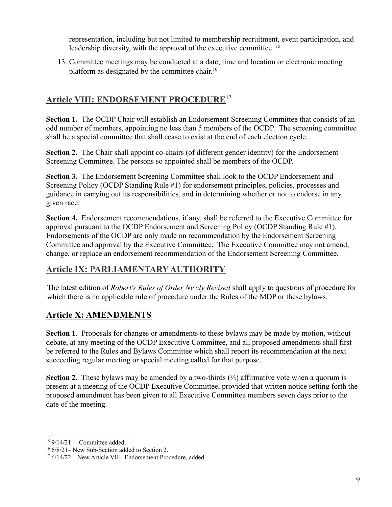representation, including but not limited to membership recruitment, event participation, and leadership diversity, with the approval of the executive committee.<sup>15</sup>

13. Committee meetings may be conducted at a date, time and location or electronic meeting platform as designated by the committee chair.<sup>16</sup>

## **Article VIII: ENDORSEMENT PROCEDURE** 17

**Section 1.** The OCDP Chair will establish an Endorsement Screening Committee that consists of an odd number of members, appointing no less than 5 members of the OCDP. The screening committee shall be a special committee that shall cease to exist at the end of each election cycle.

**Section 2.** The Chair shall appoint co-chairs (of different gender identity) for the Endorsement Screening Committee. The persons so appointed shall be members of the OCDP.

**Section 3.** The Endorsement Screening Committee shall look to the OCDP Endorsement and Screening Policy (OCDP Standing Rule #1) for endorsement principles, policies, processes and guidance in carrying out its responsibilities, and in determining whether or not to endorse in any given race.

**Section 4.** Endorsement recommendations, if any, shall be referred to the Executive Committee for approval pursuant to the OCDP Endorsement and Screening Policy (OCDP Standing Rule #1). Endorsements of the OCDP are only made on recommendation by the Endorsement Screening Committee and approval by the Executive Committee. The Executive Committee may not amend, change, or replace an endorsement recommendation of the Endorsement Screening Committee.

# **Article IX: PARLIAMENTARY AUTHORITY**

The latest edition of *Robert's Rules of Order Newly Revised* shall apply to questions of procedure for which there is no applicable rule of procedure under the Rules of the MDP or these bylaws.

# **Article X: AMENDMENTS**

**Section 1**. Proposals for changes or amendments to these bylaws may be made by motion, without debate, at any meeting of the OCDP Executive Committee, and all proposed amendments shall first be referred to the Rules and Bylaws Committee which shall report its recommendation at the next succeeding regular meeting or special meeting called for that purpose.

**Section 2.** These bylaws may be amended by a two-thirds (⅔) affirmative vote when a quorum is present at a meeting of the OCDP Executive Committee, provided that written notice setting forth the proposed amendment has been given to all Executive Committee members seven days prior to the date of the meeting.

<sup>15</sup> 9/14/21— Committee added.

 $166/8/21$ – New Sub-Section added to Section 2.

<sup>17</sup> 6/14/22—New Article VIII: Endorsement Procedure, added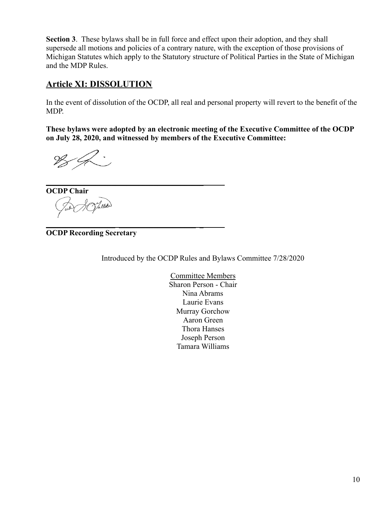**Section 3**. These bylaws shall be in full force and effect upon their adoption, and they shall supersede all motions and policies of a contrary nature, with the exception of those provisions of Michigan Statutes which apply to the Statutory structure of Political Parties in the State of Michigan and the MDP Rules.

### **Article XI: DISSOLUTION**

In the event of dissolution of the OCDP, all real and personal property will revert to the benefit of the MDP.

**These bylaws were adopted by an electronic meeting of the Executive Committee of the OCDP on July 28, 2020, and witnessed by members of the Executive Committee:**

**\_\_\_\_\_\_\_\_\_\_\_\_\_\_\_\_\_\_\_\_\_\_\_\_\_\_\_\_\_\_\_\_\_\_\_\_\_\_\_\_\_ OCDP Chair** Vincen

**\_\_\_\_\_\_\_\_\_\_\_\_\_\_\_\_\_\_ \_\_\_\_\_\_\_\_\_\_\_\_\_\_\_\_\_\_\_\_ \_ OCDP Recording Secretary**

Introduced by the OCDP Rules and Bylaws Committee 7/28/2020

Committee Members Sharon Person - Chair Nina Abrams Laurie Evans Murray Gorchow Aaron Green Thora Hanses Joseph Person Tamara Williams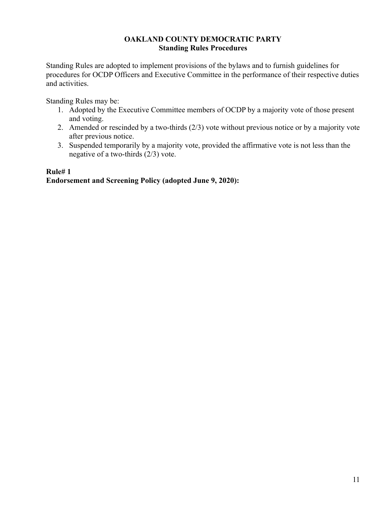#### **OAKLAND COUNTY DEMOCRATIC PARTY Standing Rules Procedures**

Standing Rules are adopted to implement provisions of the bylaws and to furnish guidelines for procedures for OCDP Officers and Executive Committee in the performance of their respective duties and activities.

Standing Rules may be:

- 1. Adopted by the Executive Committee members of OCDP by a majority vote of those present and voting.
- 2. Amended or rescinded by a two-thirds (2/3) vote without previous notice or by a majority vote after previous notice.
- 3. Suspended temporarily by a majority vote, provided the affirmative vote is not less than the negative of a two-thirds (2/3) vote.

### **Rule# 1 Endorsement and Screening Policy (adopted June 9, 2020):**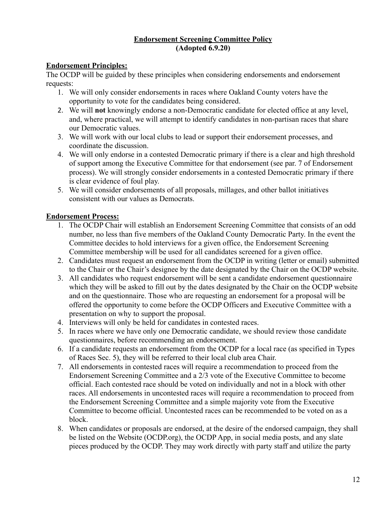#### **Endorsement Screening Committee Policy (Adopted 6.9.20)**

#### **Endorsement Principles:**

The OCDP will be guided by these principles when considering endorsements and endorsement requests:

- 1. We will only consider endorsements in races where Oakland County voters have the opportunity to vote for the candidates being considered.
- 2. We will **not** knowingly endorse a non-Democratic candidate for elected office at any level, and, where practical, we will attempt to identify candidates in non-partisan races that share our Democratic values.
- 3. We will work with our local clubs to lead or support their endorsement processes, and coordinate the discussion.
- 4. We will only endorse in a contested Democratic primary if there is a clear and high threshold of support among the Executive Committee for that endorsement (see par. 7 of Endorsement process). We will strongly consider endorsements in a contested Democratic primary if there is clear evidence of foul play.
- 5. We will consider endorsements of all proposals, millages, and other ballot initiatives consistent with our values as Democrats.

### **Endorsement Process:**

- 1. The OCDP Chair will establish an Endorsement Screening Committee that consists of an odd number, no less than five members of the Oakland County Democratic Party. In the event the Committee decides to hold interviews for a given office, the Endorsement Screening Committee membership will be used for all candidates screened for a given office.
- 2. Candidates must request an endorsement from the OCDP in writing (letter or email) submitted to the Chair or the Chair's designee by the date designated by the Chair on the OCDP website.
- 3. All candidates who request endorsement will be sent a candidate endorsement questionnaire which they will be asked to fill out by the dates designated by the Chair on the OCDP website and on the questionnaire. Those who are requesting an endorsement for a proposal will be offered the opportunity to come before the OCDP Officers and Executive Committee with a presentation on why to support the proposal.
- 4. Interviews will only be held for candidates in contested races.
- 5. In races where we have only one Democratic candidate, we should review those candidate questionnaires, before recommending an endorsement.
- 6. If a candidate requests an endorsement from the OCDP for a local race (as specified in Types of Races Sec. 5), they will be referred to their local club area Chair.
- 7. All endorsements in contested races will require a recommendation to proceed from the Endorsement Screening Committee and a 2/3 vote of the Executive Committee to become official. Each contested race should be voted on individually and not in a block with other races. All endorsements in uncontested races will require a recommendation to proceed from the Endorsement Screening Committee and a simple majority vote from the Executive Committee to become official. Uncontested races can be recommended to be voted on as a block.
- 8. When candidates or proposals are endorsed, at the desire of the endorsed campaign, they shall be listed on the Website (OCDP.org), the OCDP App, in social media posts, and any slate pieces produced by the OCDP. They may work directly with party staff and utilize the party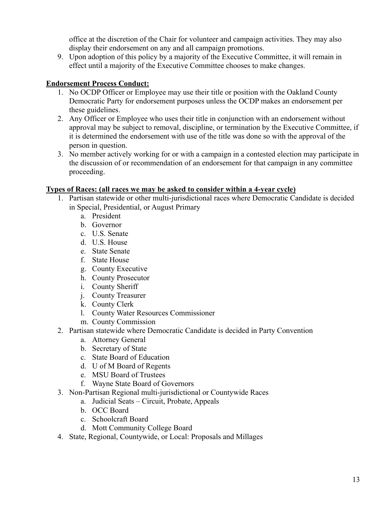office at the discretion of the Chair for volunteer and campaign activities. They may also display their endorsement on any and all campaign promotions.

9. Upon adoption of this policy by a majority of the Executive Committee, it will remain in effect until a majority of the Executive Committee chooses to make changes.

#### **Endorsement Process Conduct:**

- 1. No OCDP Officer or Employee may use their title or position with the Oakland County Democratic Party for endorsement purposes unless the OCDP makes an endorsement per these guidelines.
- 2. Any Officer or Employee who uses their title in conjunction with an endorsement without approval may be subject to removal, discipline, or termination by the Executive Committee, if it is determined the endorsement with use of the title was done so with the approval of the person in question.
- 3. No member actively working for or with a campaign in a contested election may participate in the discussion of or recommendation of an endorsement for that campaign in any committee proceeding.

#### **Types of Races: (all races we may be asked to consider within a 4-year cycle)**

- 1. Partisan statewide or other multi-jurisdictional races where Democratic Candidate is decided in Special, Presidential, or August Primary
	- a. President
	- b. Governor
	- c. U.S. Senate
	- d. U.S. House
	- e. State Senate
	- f. State House
	- g. County Executive
	- h. County Prosecutor
	- i. County Sheriff
	- j. County Treasurer
	- k. County Clerk
	- l. County Water Resources Commissioner
	- m. County Commission
- 2. Partisan statewide where Democratic Candidate is decided in Party Convention
	- a. Attorney General
	- b. Secretary of State
	- c. State Board of Education
	- d. U of M Board of Regents
	- e. MSU Board of Trustees
	- f. Wayne State Board of Governors
- 3. Non-Partisan Regional multi-jurisdictional or Countywide Races
	- a. Judicial Seats Circuit, Probate, Appeals
	- b. OCC Board
	- c. Schoolcraft Board
	- d. Mott Community College Board
- 4. State, Regional, Countywide, or Local: Proposals and Millages